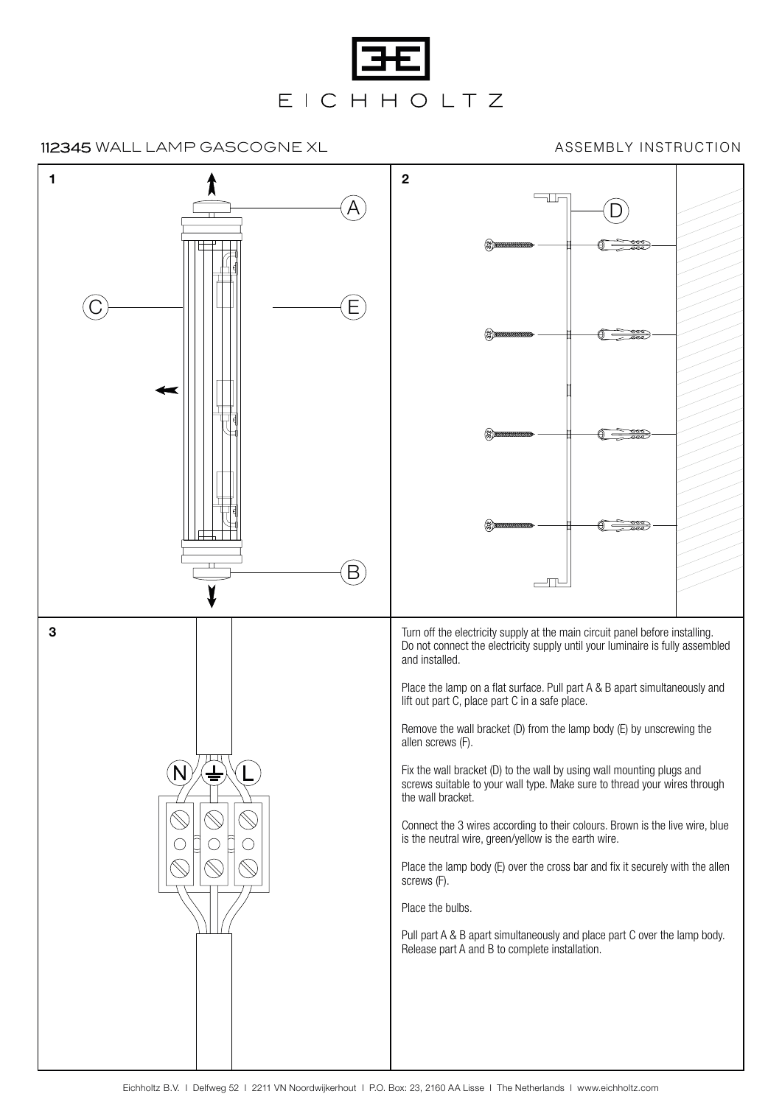

112345 WALL LAMP GASCOGNE XL

ASSEMBLY INSTRUCTION